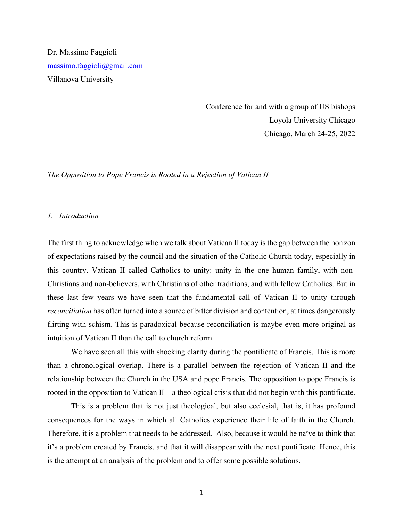Dr. Massimo Faggioli massimo.faggioli@gmail.com Villanova University

> Conference for and with a group of US bishops Loyola University Chicago Chicago, March 24-25, 2022

*The Opposition to Pope Francis is Rooted in a Rejection of Vatican II*

### *1. Introduction*

The first thing to acknowledge when we talk about Vatican II today is the gap between the horizon of expectations raised by the council and the situation of the Catholic Church today, especially in this country. Vatican II called Catholics to unity: unity in the one human family, with non-Christians and non-believers, with Christians of other traditions, and with fellow Catholics. But in these last few years we have seen that the fundamental call of Vatican II to unity through *reconciliation* has often turned into a source of bitter division and contention, at times dangerously flirting with schism. This is paradoxical because reconciliation is maybe even more original as intuition of Vatican II than the call to church reform.

We have seen all this with shocking clarity during the pontificate of Francis. This is more than a chronological overlap. There is a parallel between the rejection of Vatican II and the relationship between the Church in the USA and pope Francis. The opposition to pope Francis is rooted in the opposition to Vatican  $II - a$  theological crisis that did not begin with this pontificate.

This is a problem that is not just theological, but also ecclesial, that is, it has profound consequences for the ways in which all Catholics experience their life of faith in the Church. Therefore, it is a problem that needs to be addressed. Also, because it would be naïve to think that it's a problem created by Francis, and that it will disappear with the next pontificate. Hence, this is the attempt at an analysis of the problem and to offer some possible solutions.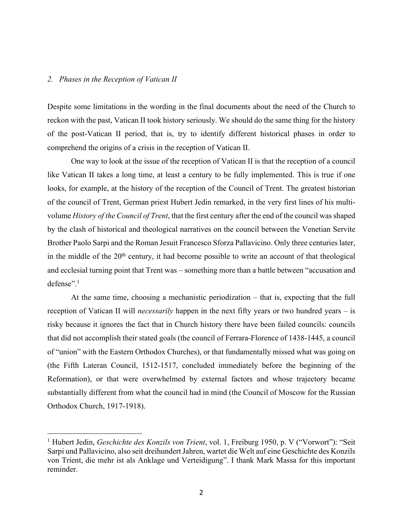### *2. Phases in the Reception of Vatican II*

Despite some limitations in the wording in the final documents about the need of the Church to reckon with the past, Vatican II took history seriously. We should do the same thing for the history of the post-Vatican II period, that is, try to identify different historical phases in order to comprehend the origins of a crisis in the reception of Vatican II.

One way to look at the issue of the reception of Vatican II is that the reception of a council like Vatican II takes a long time, at least a century to be fully implemented. This is true if one looks, for example, at the history of the reception of the Council of Trent. The greatest historian of the council of Trent, German priest Hubert Jedin remarked, in the very first lines of his multivolume *History of the Council of Trent*, that the first century after the end of the council was shaped by the clash of historical and theological narratives on the council between the Venetian Servite Brother Paolo Sarpi and the Roman Jesuit Francesco Sforza Pallavicino. Only three centuries later, in the middle of the  $20<sup>th</sup>$  century, it had become possible to write an account of that theological and ecclesial turning point that Trent was – something more than a battle between "accusation and defense". 1

At the same time, choosing a mechanistic periodization – that is, expecting that the full reception of Vatican II will *necessarily* happen in the next fifty years or two hundred years – is risky because it ignores the fact that in Church history there have been failed councils: councils that did not accomplish their stated goals (the council of Ferrara-Florence of 1438-1445, a council of "union" with the Eastern Orthodox Churches), or that fundamentally missed what was going on (the Fifth Lateran Council, 1512-1517, concluded immediately before the beginning of the Reformation), or that were overwhelmed by external factors and whose trajectory became substantially different from what the council had in mind (the Council of Moscow for the Russian Orthodox Church, 1917-1918).

<sup>1</sup> Hubert Jedin, *Geschichte des Konzils von Trient*, vol. 1, Freiburg 1950, p. V ("Vorwort"): "Seit Sarpi und Pallavicino, also seit dreihundert Jahren, wartet die Welt auf eine Geschichte des Konzils von Trient, die mehr ist als Anklage und Verteidigung". I thank Mark Massa for this important reminder.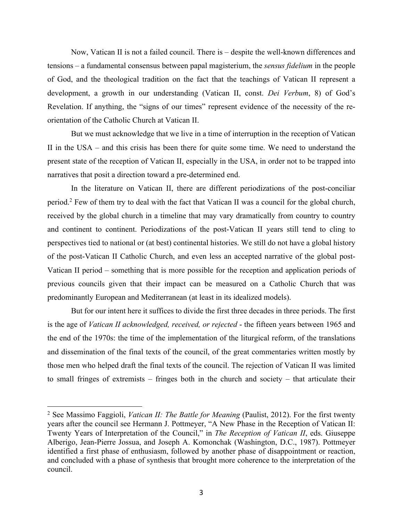Now, Vatican II is not a failed council. There is – despite the well-known differences and tensions – a fundamental consensus between papal magisterium, the *sensus fidelium* in the people of God, and the theological tradition on the fact that the teachings of Vatican II represent a development, a growth in our understanding (Vatican II, const. *Dei Verbum*, 8) of God's Revelation. If anything, the "signs of our times" represent evidence of the necessity of the reorientation of the Catholic Church at Vatican II.

But we must acknowledge that we live in a time of interruption in the reception of Vatican II in the USA – and this crisis has been there for quite some time. We need to understand the present state of the reception of Vatican II, especially in the USA, in order not to be trapped into narratives that posit a direction toward a pre-determined end.

In the literature on Vatican II, there are different periodizations of the post-conciliar period.<sup>2</sup> Few of them try to deal with the fact that Vatican II was a council for the global church, received by the global church in a timeline that may vary dramatically from country to country and continent to continent. Periodizations of the post-Vatican II years still tend to cling to perspectives tied to national or (at best) continental histories. We still do not have a global history of the post-Vatican II Catholic Church, and even less an accepted narrative of the global post-Vatican II period – something that is more possible for the reception and application periods of previous councils given that their impact can be measured on a Catholic Church that was predominantly European and Mediterranean (at least in its idealized models).

But for our intent here it suffices to divide the first three decades in three periods. The first is the age of *Vatican II acknowledged, received, or rejected* - the fifteen years between 1965 and the end of the 1970s: the time of the implementation of the liturgical reform, of the translations and dissemination of the final texts of the council, of the great commentaries written mostly by those men who helped draft the final texts of the council. The rejection of Vatican II was limited to small fringes of extremists – fringes both in the church and society – that articulate their

<sup>2</sup> See Massimo Faggioli, *Vatican II: The Battle for Meaning* (Paulist, 2012). For the first twenty years after the council see Hermann J. Pottmeyer, "A New Phase in the Reception of Vatican II: Twenty Years of Interpretation of the Council," in *The Reception of Vatican II*, eds. Giuseppe Alberigo, Jean-Pierre Jossua, and Joseph A. Komonchak (Washington, D.C., 1987). Pottmeyer identified a first phase of enthusiasm, followed by another phase of disappointment or reaction, and concluded with a phase of synthesis that brought more coherence to the interpretation of the council.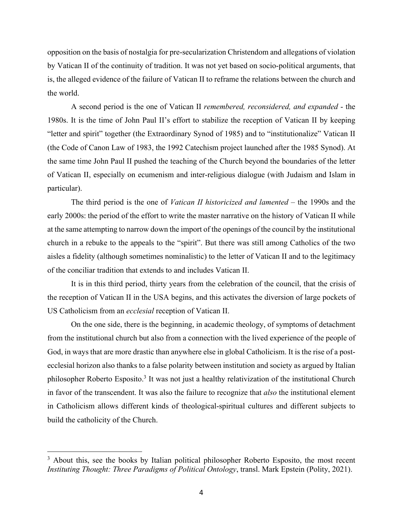opposition on the basis of nostalgia for pre-secularization Christendom and allegations of violation by Vatican II of the continuity of tradition. It was not yet based on socio-political arguments, that is, the alleged evidence of the failure of Vatican II to reframe the relations between the church and the world.

A second period is the one of Vatican II *remembered, reconsidered, and expanded* - the 1980s. It is the time of John Paul II's effort to stabilize the reception of Vatican II by keeping "letter and spirit" together (the Extraordinary Synod of 1985) and to "institutionalize" Vatican II (the Code of Canon Law of 1983, the 1992 Catechism project launched after the 1985 Synod). At the same time John Paul II pushed the teaching of the Church beyond the boundaries of the letter of Vatican II, especially on ecumenism and inter-religious dialogue (with Judaism and Islam in particular).

The third period is the one of *Vatican II historicized and lamented* – the 1990s and the early 2000s: the period of the effort to write the master narrative on the history of Vatican II while at the same attempting to narrow down the import of the openings of the council by the institutional church in a rebuke to the appeals to the "spirit". But there was still among Catholics of the two aisles a fidelity (although sometimes nominalistic) to the letter of Vatican II and to the legitimacy of the conciliar tradition that extends to and includes Vatican II.

It is in this third period, thirty years from the celebration of the council, that the crisis of the reception of Vatican II in the USA begins, and this activates the diversion of large pockets of US Catholicism from an *ecclesial* reception of Vatican II.

On the one side, there is the beginning, in academic theology, of symptoms of detachment from the institutional church but also from a connection with the lived experience of the people of God, in ways that are more drastic than anywhere else in global Catholicism. It is the rise of a postecclesial horizon also thanks to a false polarity between institution and society as argued by Italian philosopher Roberto Esposito.<sup>3</sup> It was not just a healthy relativization of the institutional Church in favor of the transcendent. It was also the failure to recognize that *also* the institutional element in Catholicism allows different kinds of theological-spiritual cultures and different subjects to build the catholicity of the Church.

<sup>&</sup>lt;sup>3</sup> About this, see the books by Italian political philosopher Roberto Esposito, the most recent *Instituting Thought: Three Paradigms of Political Ontology*, transl. Mark Epstein (Polity, 2021).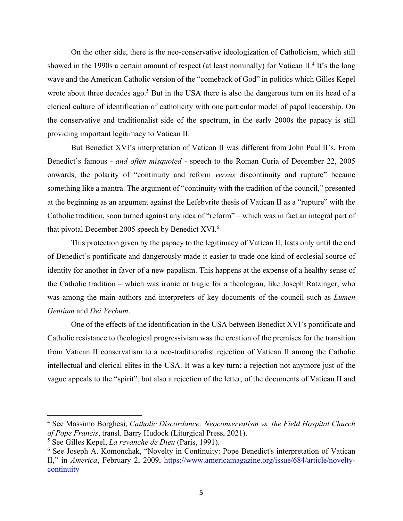On the other side, there is the neo-conservative ideologization of Catholicism, which still showed in the 1990s a certain amount of respect (at least nominally) for Vatican II.<sup>4</sup> It's the long wave and the American Catholic version of the "comeback of God" in politics which Gilles Kepel wrote about three decades ago.<sup>5</sup> But in the USA there is also the dangerous turn on its head of a clerical culture of identification of catholicity with one particular model of papal leadership. On the conservative and traditionalist side of the spectrum, in the early 2000s the papacy is still providing important legitimacy to Vatican II.

But Benedict XVI's interpretation of Vatican II was different from John Paul II's. From Benedict's famous - *and often misquoted* - speech to the Roman Curia of December 22, 2005 onwards, the polarity of "continuity and reform *versus* discontinuity and rupture" became something like a mantra. The argument of "continuity with the tradition of the council," presented at the beginning as an argument against the Lefebvrite thesis of Vatican II as a "rupture" with the Catholic tradition, soon turned against any idea of "reform" – which was in fact an integral part of that pivotal December 2005 speech by Benedict XVI. 6

This protection given by the papacy to the legitimacy of Vatican II, lasts only until the end of Benedict's pontificate and dangerously made it easier to trade one kind of ecclesial source of identity for another in favor of a new papalism. This happens at the expense of a healthy sense of the Catholic tradition – which was ironic or tragic for a theologian, like Joseph Ratzinger, who was among the main authors and interpreters of key documents of the council such as *Lumen Gentium* and *Dei Verbum*.

One of the effects of the identification in the USA between Benedict XVI's pontificate and Catholic resistance to theological progressivism was the creation of the premises for the transition from Vatican II conservatism to a neo-traditionalist rejection of Vatican II among the Catholic intellectual and clerical elites in the USA. It was a key turn: a rejection not anymore just of the vague appeals to the "spirit", but also a rejection of the letter, of the documents of Vatican II and

<sup>4</sup> See Massimo Borghesi, *Catholic Discordance: Neoconservatism vs. the Field Hospital Church of Pope Francis*, transl. Barry Hudock (Liturgical Press, 2021).

<sup>5</sup> See Gilles Kepel, *La revanche de Dieu* (Paris, 1991).

<sup>6</sup> See Joseph A. Komonchak, "Novelty in Continuity: Pope Benedict's interpretation of Vatican II," in *America*, February 2, 2009, https://www.americamagazine.org/issue/684/article/noveltycontinuity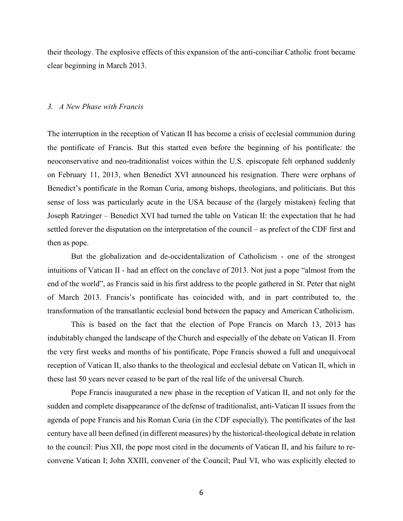their theology. The explosive effects of this expansion of the anti-conciliar Catholic front became clear beginning in March 2013.

### *3. A New Phase with Francis*

The interruption in the reception of Vatican II has become a crisis of ecclesial communion during the pontificate of Francis. But this started even before the beginning of his pontificate: the neoconservative and neo-traditionalist voices within the U.S. episcopate felt orphaned suddenly on February 11, 2013, when Benedict XVI announced his resignation. There were orphans of Benedict's pontificate in the Roman Curia, among bishops, theologians, and politicians. But this sense of loss was particularly acute in the USA because of the (largely mistaken) feeling that Joseph Ratzinger – Benedict XVI had turned the table on Vatican II: the expectation that he had settled forever the disputation on the interpretation of the council – as prefect of the CDF first and then as pope.

But the globalization and de-occidentalization of Catholicism - one of the strongest intuitions of Vatican II - had an effect on the conclave of 2013. Not just a pope "almost from the end of the world", as Francis said in his first address to the people gathered in St. Peter that night of March 2013. Francis's pontificate has coincided with, and in part contributed to, the transformation of the transatlantic ecclesial bond between the papacy and American Catholicism.

This is based on the fact that the election of Pope Francis on March 13, 2013 has indubitably changed the landscape of the Church and especially of the debate on Vatican II. From the very first weeks and months of his pontificate, Pope Francis showed a full and unequivocal reception of Vatican II, also thanks to the theological and ecclesial debate on Vatican II, which in these last 50 years never ceased to be part of the real life of the universal Church.

Pope Francis inaugurated a new phase in the reception of Vatican II, and not only for the sudden and complete disappearance of the defense of traditionalist, anti-Vatican II issues from the agenda of pope Francis and his Roman Curia (in the CDF especially). The pontificates of the last century have all been defined (in different measures) by the historical-theological debate in relation to the council: Pius XII, the pope most cited in the documents of Vatican II, and his failure to reconvene Vatican I; John XXIII, convener of the Council; Paul VI, who was explicitly elected to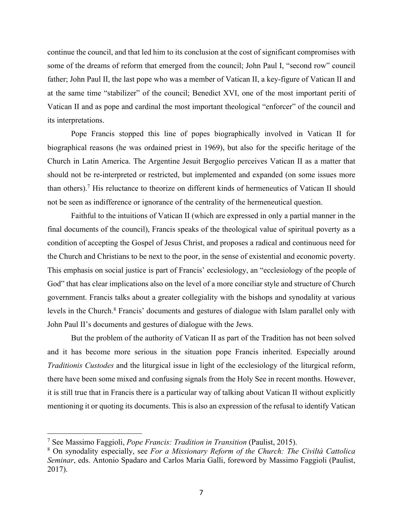continue the council, and that led him to its conclusion at the cost of significant compromises with some of the dreams of reform that emerged from the council; John Paul I, "second row" council father; John Paul II, the last pope who was a member of Vatican II, a key-figure of Vatican II and at the same time "stabilizer" of the council; Benedict XVI, one of the most important periti of Vatican II and as pope and cardinal the most important theological "enforcer" of the council and its interpretations.

Pope Francis stopped this line of popes biographically involved in Vatican II for biographical reasons (he was ordained priest in 1969), but also for the specific heritage of the Church in Latin America. The Argentine Jesuit Bergoglio perceives Vatican II as a matter that should not be re-interpreted or restricted, but implemented and expanded (on some issues more than others). <sup>7</sup> His reluctance to theorize on different kinds of hermeneutics of Vatican II should not be seen as indifference or ignorance of the centrality of the hermeneutical question.

Faithful to the intuitions of Vatican II (which are expressed in only a partial manner in the final documents of the council), Francis speaks of the theological value of spiritual poverty as a condition of accepting the Gospel of Jesus Christ, and proposes a radical and continuous need for the Church and Christians to be next to the poor, in the sense of existential and economic poverty. This emphasis on social justice is part of Francis' ecclesiology, an "ecclesiology of the people of God" that has clear implications also on the level of a more conciliar style and structure of Church government. Francis talks about a greater collegiality with the bishops and synodality at various levels in the Church.<sup>8</sup> Francis' documents and gestures of dialogue with Islam parallel only with John Paul II's documents and gestures of dialogue with the Jews.

But the problem of the authority of Vatican II as part of the Tradition has not been solved and it has become more serious in the situation pope Francis inherited. Especially around *Traditionis Custodes* and the liturgical issue in light of the ecclesiology of the liturgical reform, there have been some mixed and confusing signals from the Holy See in recent months. However, it is still true that in Francis there is a particular way of talking about Vatican II without explicitly mentioning it or quoting its documents. This is also an expression of the refusal to identify Vatican

<sup>7</sup> See Massimo Faggioli, *Pope Francis: Tradition in Transition* (Paulist, 2015).

<sup>8</sup> On synodality especially, see *For a Missionary Reform of the Church: The Civiltà Cattolica Seminar*, eds. Antonio Spadaro and Carlos Maria Galli, foreword by Massimo Faggioli (Paulist, 2017).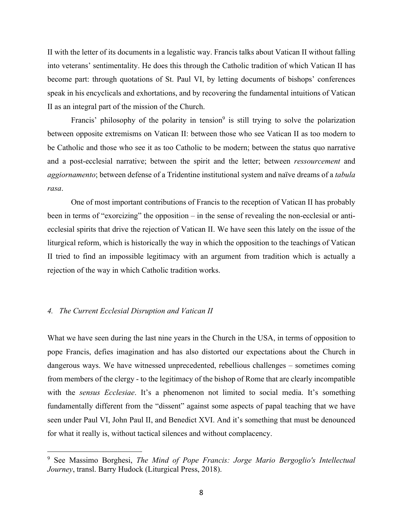II with the letter of its documents in a legalistic way. Francis talks about Vatican II without falling into veterans' sentimentality. He does this through the Catholic tradition of which Vatican II has become part: through quotations of St. Paul VI, by letting documents of bishops' conferences speak in his encyclicals and exhortations, and by recovering the fundamental intuitions of Vatican II as an integral part of the mission of the Church.

Francis' philosophy of the polarity in tension<sup>9</sup> is still trying to solve the polarization between opposite extremisms on Vatican II: between those who see Vatican II as too modern to be Catholic and those who see it as too Catholic to be modern; between the status quo narrative and a post-ecclesial narrative; between the spirit and the letter; between *ressourcement* and *aggiornamento*; between defense of a Tridentine institutional system and naïve dreams of a *tabula rasa*.

One of most important contributions of Francis to the reception of Vatican II has probably been in terms of "exorcizing" the opposition – in the sense of revealing the non-ecclesial or antiecclesial spirits that drive the rejection of Vatican II. We have seen this lately on the issue of the liturgical reform, which is historically the way in which the opposition to the teachings of Vatican II tried to find an impossible legitimacy with an argument from tradition which is actually a rejection of the way in which Catholic tradition works.

## *4. The Current Ecclesial Disruption and Vatican II*

What we have seen during the last nine years in the Church in the USA, in terms of opposition to pope Francis, defies imagination and has also distorted our expectations about the Church in dangerous ways. We have witnessed unprecedented, rebellious challenges – sometimes coming from members of the clergy - to the legitimacy of the bishop of Rome that are clearly incompatible with the *sensus Ecclesiae*. It's a phenomenon not limited to social media. It's something fundamentally different from the "dissent" against some aspects of papal teaching that we have seen under Paul VI, John Paul II, and Benedict XVI. And it's something that must be denounced for what it really is, without tactical silences and without complacency.

<sup>9</sup> See Massimo Borghesi, *The Mind of Pope Francis: Jorge Mario Bergoglio's Intellectual Journey*, transl. Barry Hudock (Liturgical Press, 2018).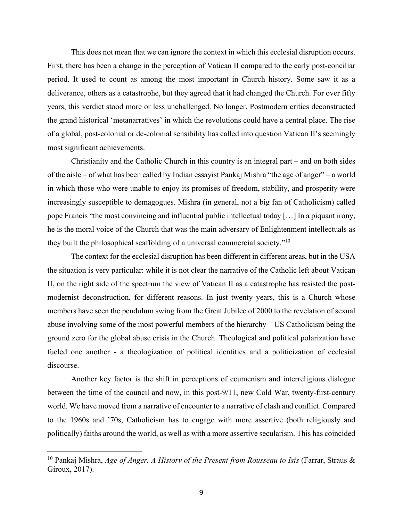This does not mean that we can ignore the context in which this ecclesial disruption occurs. First, there has been a change in the perception of Vatican II compared to the early post-conciliar period. It used to count as among the most important in Church history. Some saw it as a deliverance, others as a catastrophe, but they agreed that it had changed the Church. For over fifty years, this verdict stood more or less unchallenged. No longer. Postmodern critics deconstructed the grand historical 'metanarratives' in which the revolutions could have a central place. The rise of a global, post-colonial or de-colonial sensibility has called into question Vatican II's seemingly most significant achievements.

Christianity and the Catholic Church in this country is an integral part – and on both sides of the aisle – of what has been called by Indian essayist Pankaj Mishra "the age of anger" – a world in which those who were unable to enjoy its promises of freedom, stability, and prosperity were increasingly susceptible to demagogues. Mishra (in general, not a big fan of Catholicism) called pope Francis "the most convincing and influential public intellectual today […] In a piquant irony, he is the moral voice of the Church that was the main adversary of Enlightenment intellectuals as they built the philosophical scaffolding of a universal commercial society."10

The context for the ecclesial disruption has been different in different areas, but in the USA the situation is very particular: while it is not clear the narrative of the Catholic left about Vatican II, on the right side of the spectrum the view of Vatican II as a catastrophe has resisted the postmodernist deconstruction, for different reasons. In just twenty years, this is a Church whose members have seen the pendulum swing from the Great Jubilee of 2000 to the revelation of sexual abuse involving some of the most powerful members of the hierarchy – US Catholicism being the ground zero for the global abuse crisis in the Church. Theological and political polarization have fueled one another - a theologization of political identities and a politicization of ecclesial discourse.

Another key factor is the shift in perceptions of ecumenism and interreligious dialogue between the time of the council and now, in this post-9/11, new Cold War, twenty-first-century world. We have moved from a narrative of encounter to a narrative of clash and conflict. Compared to the 1960s and '70s, Catholicism has to engage with more assertive (both religiously and politically) faiths around the world, as well as with a more assertive secularism. This has coincided

<sup>10</sup> Pankaj Mishra, *Age of Anger. A History of the Present from Rousseau to Isis* (Farrar, Straus & Giroux, 2017).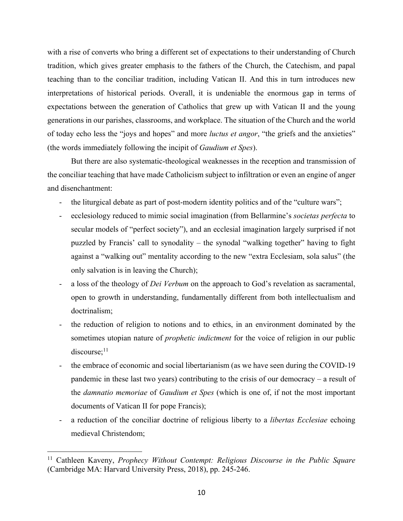with a rise of converts who bring a different set of expectations to their understanding of Church tradition, which gives greater emphasis to the fathers of the Church, the Catechism, and papal teaching than to the conciliar tradition, including Vatican II. And this in turn introduces new interpretations of historical periods. Overall, it is undeniable the enormous gap in terms of expectations between the generation of Catholics that grew up with Vatican II and the young generations in our parishes, classrooms, and workplace. The situation of the Church and the world of today echo less the "joys and hopes" and more *luctus et angor*, "the griefs and the anxieties" (the words immediately following the incipit of *Gaudium et Spes*).

But there are also systematic-theological weaknesses in the reception and transmission of the conciliar teaching that have made Catholicism subject to infiltration or even an engine of anger and disenchantment:

- the liturgical debate as part of post-modern identity politics and of the "culture wars";
- ecclesiology reduced to mimic social imagination (from Bellarmine's *societas perfecta* to secular models of "perfect society"), and an ecclesial imagination largely surprised if not puzzled by Francis' call to synodality – the synodal "walking together" having to fight against a "walking out" mentality according to the new "extra Ecclesiam, sola salus" (the only salvation is in leaving the Church);
- a loss of the theology of *Dei Verbum* on the approach to God's revelation as sacramental, open to growth in understanding, fundamentally different from both intellectualism and doctrinalism;
- the reduction of religion to notions and to ethics, in an environment dominated by the sometimes utopian nature of *prophetic indictment* for the voice of religion in our public  $discourse:$ <sup>11</sup>
- the embrace of economic and social libertarianism (as we have seen during the COVID-19 pandemic in these last two years) contributing to the crisis of our democracy – a result of the *damnatio memoriae* of *Gaudium et Spes* (which is one of, if not the most important documents of Vatican II for pope Francis);
- a reduction of the conciliar doctrine of religious liberty to a *libertas Ecclesiae* echoing medieval Christendom;

<sup>11</sup> Cathleen Kaveny, *Prophecy Without Contempt: Religious Discourse in the Public Square* (Cambridge MA: Harvard University Press, 2018), pp. 245-246.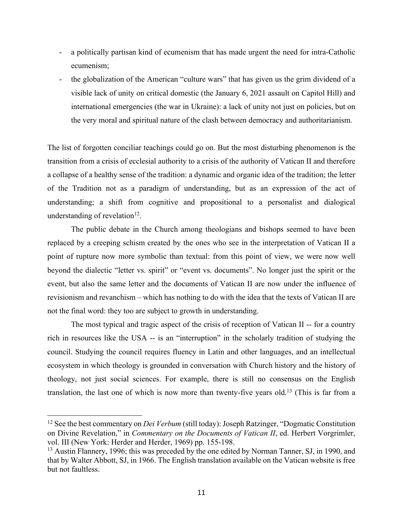- a politically partisan kind of ecumenism that has made urgent the need for intra-Catholic ecumenism;
- the globalization of the American "culture wars" that has given us the grim dividend of a visible lack of unity on critical domestic (the January 6, 2021 assault on Capitol Hill) and international emergencies (the war in Ukraine): a lack of unity not just on policies, but on the very moral and spiritual nature of the clash between democracy and authoritarianism.

The list of forgotten conciliar teachings could go on. But the most disturbing phenomenon is the transition from a crisis of ecclesial authority to a crisis of the authority of Vatican II and therefore a collapse of a healthy sense of the tradition: a dynamic and organic idea of the tradition; the letter of the Tradition not as a paradigm of understanding, but as an expression of the act of understanding; a shift from cognitive and propositional to a personalist and dialogical understanding of revelation<sup>12</sup>.

The public debate in the Church among theologians and bishops seemed to have been replaced by a creeping schism created by the ones who see in the interpretation of Vatican II a point of rupture now more symbolic than textual: from this point of view, we were now well beyond the dialectic "letter vs. spirit" or "event vs. documents". No longer just the spirit or the event, but also the same letter and the documents of Vatican II are now under the influence of revisionism and revanchism – which has nothing to do with the idea that the texts of Vatican II are not the final word: they too are subject to growth in understanding.

The most typical and tragic aspect of the crisis of reception of Vatican II -- for a country rich in resources like the USA -- is an "interruption" in the scholarly tradition of studying the council. Studying the council requires fluency in Latin and other languages, and an intellectual ecosystem in which theology is grounded in conversation with Church history and the history of theology, not just social sciences. For example, there is still no consensus on the English translation, the last one of which is now more than twenty-five years old.<sup>13</sup> (This is far from a

<sup>12</sup> See the best commentary on *Dei Verbum* (still today): Joseph Ratzinger, "Dogmatic Constitution on Divine Revelation," in *Commentary on the Documents of Vatican II*, ed. Herbert Vorgrimler, vol. III (New York: Herder and Herder, 1969) pp. 155-198.

<sup>&</sup>lt;sup>13</sup> Austin Flannery, 1996; this was preceded by the one edited by Norman Tanner, SJ, in 1990, and that by Walter Abbott, SJ, in 1966. The English translation available on the Vatican website is free but not faultless.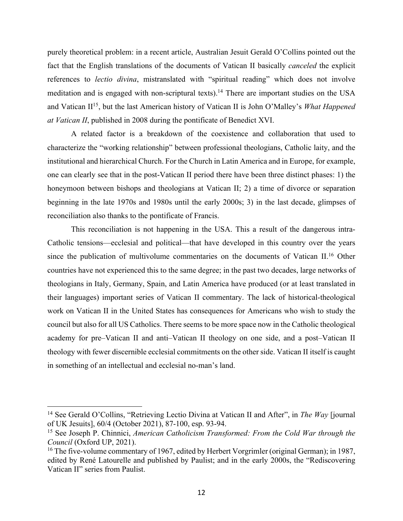purely theoretical problem: in a recent article, Australian Jesuit Gerald O'Collins pointed out the fact that the English translations of the documents of Vatican II basically *canceled* the explicit references to *lectio divina*, mistranslated with "spiritual reading" which does not involve meditation and is engaged with non-scriptural texts).<sup>14</sup> There are important studies on the USA and Vatican II15, but the last American history of Vatican II is John O'Malley's *What Happened at Vatican II*, published in 2008 during the pontificate of Benedict XVI.

A related factor is a breakdown of the coexistence and collaboration that used to characterize the "working relationship" between professional theologians, Catholic laity, and the institutional and hierarchical Church. For the Church in Latin America and in Europe, for example, one can clearly see that in the post-Vatican II period there have been three distinct phases: 1) the honeymoon between bishops and theologians at Vatican II; 2) a time of divorce or separation beginning in the late 1970s and 1980s until the early 2000s; 3) in the last decade, glimpses of reconciliation also thanks to the pontificate of Francis.

This reconciliation is not happening in the USA. This a result of the dangerous intra-Catholic tensions—ecclesial and political—that have developed in this country over the years since the publication of multivolume commentaries on the documents of Vatican II.16 Other countries have not experienced this to the same degree; in the past two decades, large networks of theologians in Italy, Germany, Spain, and Latin America have produced (or at least translated in their languages) important series of Vatican II commentary. The lack of historical-theological work on Vatican II in the United States has consequences for Americans who wish to study the council but also for all US Catholics. There seems to be more space now in the Catholic theological academy for pre–Vatican II and anti–Vatican II theology on one side, and a post–Vatican II theology with fewer discernible ecclesial commitments on the other side. Vatican II itself is caught in something of an intellectual and ecclesial no-man's land.

<sup>14</sup> See Gerald O'Collins, "Retrieving Lectio Divina at Vatican II and After", in *The Way* [journal of UK Jesuits], 60/4 (October 2021), 87-100, esp. 93-94.

<sup>15</sup> See Joseph P. Chinnici, *American Catholicism Transformed: From the Cold War through the Council* (Oxford UP, 2021).

<sup>&</sup>lt;sup>16</sup> The five-volume commentary of 1967, edited by Herbert Vorgrimler (original German); in 1987, edited by René Latourelle and published by Paulist; and in the early 2000s, the "Rediscovering Vatican II" series from Paulist.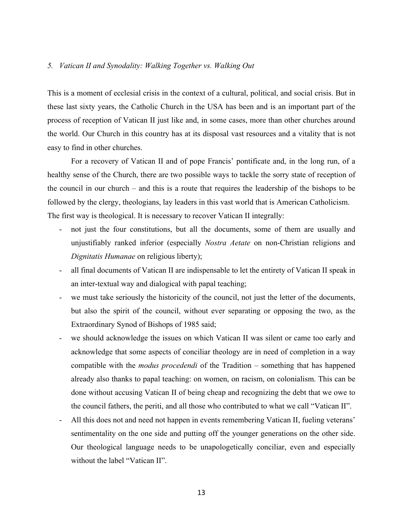### *5. Vatican II and Synodality: Walking Together vs. Walking Out*

This is a moment of ecclesial crisis in the context of a cultural, political, and social crisis. But in these last sixty years, the Catholic Church in the USA has been and is an important part of the process of reception of Vatican II just like and, in some cases, more than other churches around the world. Our Church in this country has at its disposal vast resources and a vitality that is not easy to find in other churches.

For a recovery of Vatican II and of pope Francis' pontificate and, in the long run, of a healthy sense of the Church, there are two possible ways to tackle the sorry state of reception of the council in our church – and this is a route that requires the leadership of the bishops to be followed by the clergy, theologians, lay leaders in this vast world that is American Catholicism. The first way is theological. It is necessary to recover Vatican II integrally:

- not just the four constitutions, but all the documents, some of them are usually and unjustifiably ranked inferior (especially *Nostra Aetate* on non-Christian religions and *Dignitatis Humanae* on religious liberty);
- all final documents of Vatican II are indispensable to let the entirety of Vatican II speak in an inter-textual way and dialogical with papal teaching;
- we must take seriously the historicity of the council, not just the letter of the documents, but also the spirit of the council, without ever separating or opposing the two, as the Extraordinary Synod of Bishops of 1985 said;
- we should acknowledge the issues on which Vatican II was silent or came too early and acknowledge that some aspects of conciliar theology are in need of completion in a way compatible with the *modus procedendi* of the Tradition – something that has happened already also thanks to papal teaching: on women, on racism, on colonialism. This can be done without accusing Vatican II of being cheap and recognizing the debt that we owe to the council fathers, the periti, and all those who contributed to what we call "Vatican II".
- All this does not and need not happen in events remembering Vatican II, fueling veterans' sentimentality on the one side and putting off the younger generations on the other side. Our theological language needs to be unapologetically conciliar, even and especially without the label "Vatican II".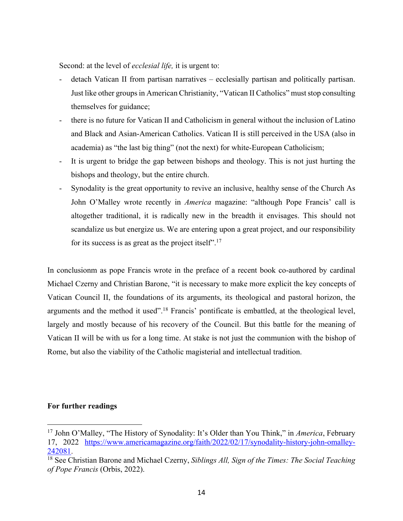Second: at the level of *ecclesial life,* it is urgent to:

- detach Vatican II from partisan narratives ecclesially partisan and politically partisan. Just like other groups in American Christianity, "Vatican II Catholics" must stop consulting themselves for guidance;
- there is no future for Vatican II and Catholicism in general without the inclusion of Latino and Black and Asian-American Catholics. Vatican II is still perceived in the USA (also in academia) as "the last big thing" (not the next) for white-European Catholicism;
- It is urgent to bridge the gap between bishops and theology. This is not just hurting the bishops and theology, but the entire church.
- Synodality is the great opportunity to revive an inclusive, healthy sense of the Church As John O'Malley wrote recently in *America* magazine: "although Pope Francis' call is altogether traditional, it is radically new in the breadth it envisages. This should not scandalize us but energize us. We are entering upon a great project, and our responsibility for its success is as great as the project itself".<sup>17</sup>

In conclusionm as pope Francis wrote in the preface of a recent book co-authored by cardinal Michael Czerny and Christian Barone, "it is necessary to make more explicit the key concepts of Vatican Council II, the foundations of its arguments, its theological and pastoral horizon, the arguments and the method it used".<sup>18</sup> Francis' pontificate is embattled, at the theological level, largely and mostly because of his recovery of the Council. But this battle for the meaning of Vatican II will be with us for a long time. At stake is not just the communion with the bishop of Rome, but also the viability of the Catholic magisterial and intellectual tradition.

# **For further readings**

<sup>17</sup> John O'Malley, "The History of Synodality: It's Older than You Think," in *America*, February 17, 2022 https://www.americamagazine.org/faith/2022/02/17/synodality-history-john-omalley-242081.

<sup>18</sup> See Christian Barone and Michael Czerny, *Siblings All, Sign of the Times: The Social Teaching of Pope Francis* (Orbis, 2022).